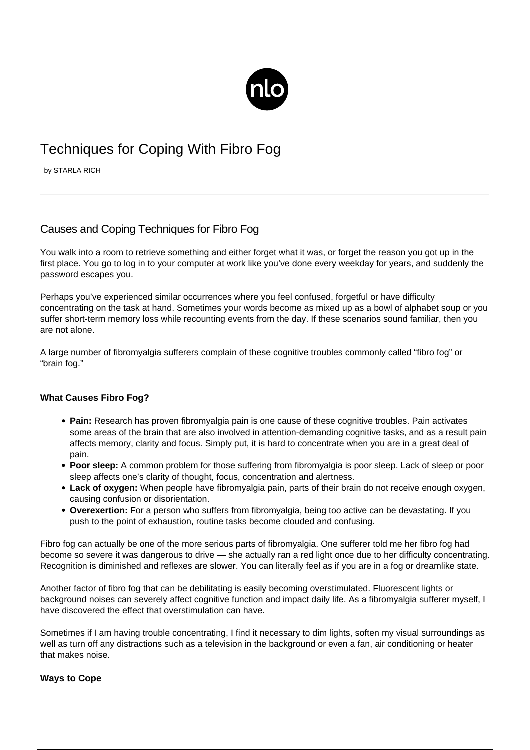

# Techniques for Coping With Fibro Fog

by STARLA RICH

# Causes and Coping Techniques for Fibro Fog

You walk into a room to retrieve something and either forget what it was, or forget the reason you got up in the first place. You go to log in to your computer at work like you've done every weekday for years, and suddenly the password escapes you.

Perhaps you've experienced similar occurrences where you feel confused, forgetful or have difficulty concentrating on the task at hand. Sometimes your words become as mixed up as a bowl of alphabet soup or you suffer short-term memory loss while recounting events from the day. If these scenarios sound familiar, then you are not alone.

A large number of fibromyalgia sufferers complain of these cognitive troubles commonly called "fibro fog" or "brain fog."

# **What Causes Fibro Fog?**

- **Pain:** Research has proven [fibromyalgia pain](/brains-response-to-pain-in-patients-with-fibromyalgia/) is one cause of these cognitive troubles. Pain activates some areas of the brain that are also involved in attention-demanding cognitive tasks, and as a result pain affects memory, clarity and focus. Simply put, it is hard to concentrate when you are in a great deal of pain.
- **Poor sleep:** A common problem for those suffering from fibromyalgia is poor sleep. Lack of sleep or poor sleep affects one's clarity of thought, focus, concentration and alertness.
- **Lack of oxygen:** When people have fibromyalgia pain, parts of their brain do not receive enough oxygen, causing confusion or disorientation.
- **Overexertion:** For a person who suffers from fibromyalgia, being too active can be devastating. If you push to the point of exhaustion, routine tasks become clouded and confusing.

Fibro fog can actually be one of the more serious parts of fibromyalgia. One sufferer told me her fibro fog had become so severe it was dangerous to drive — she actually ran a red light once due to her difficulty concentrating. Recognition is diminished and reflexes are slower. You can literally feel as if you are in a fog or dreamlike state.

Another factor of fibro fog that can be debilitating is easily becoming overstimulated. Fluorescent lights or background noises can severely affect cognitive function and impact daily life. As a fibromyalgia sufferer myself, I have discovered the effect that overstimulation can have.

Sometimes if I am having trouble concentrating, I find it necessary to dim lights, soften my visual surroundings as well as turn off any distractions such as a television in the background or even a fan, air conditioning or heater that makes noise.

# **Ways to Cope**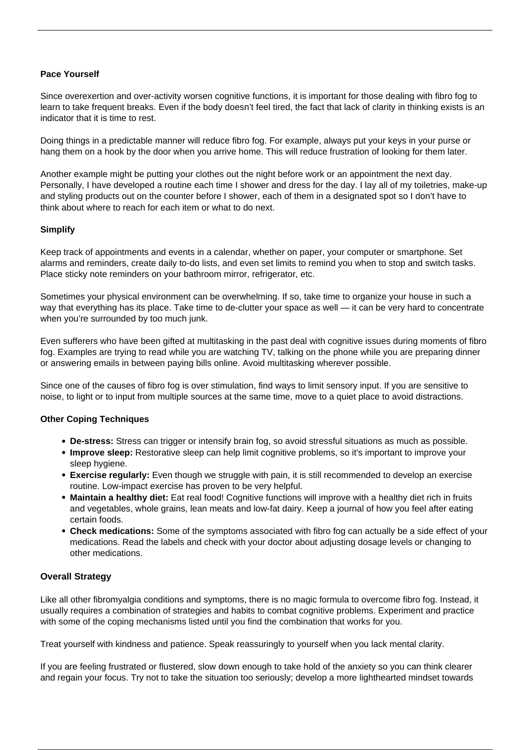#### **Pace Yourself**

Since overexertion and over-activity worsen cognitive functions, it is important for those dealing with fibro fog to learn to take frequent breaks. Even if the body doesn't feel tired, the fact that lack of clarity in thinking exists is an indicator that it is time to rest.

Doing things in a predictable manner will reduce fibro fog. For example, always put your keys in your purse or hang them on a hook by the door when you arrive home. This will reduce frustration of looking for them later.

Another example might be putting your clothes out the night before work or an appointment the next day. Personally, I have developed a routine each time I shower and dress for the day. I lay all of my toiletries, make-up and styling products out on the counter before I shower, each of them in a designated spot so I don't have to think about where to reach for each item or what to do next.

#### **Simplify**

Keep track of appointments and events in a calendar, whether on paper, your computer or smartphone. Set alarms and reminders, create daily to-do lists, and even set limits to remind you when to stop and switch tasks. Place sticky note reminders on your bathroom mirror, refrigerator, etc.

Sometimes your physical environment can be overwhelming. If so, take time to organize your house in such a way that everything has its place. Take time to de-clutter your space as well — it can be very hard to concentrate when you're surrounded by too much junk.

Even sufferers who have been gifted at multitasking in the past deal with cognitive issues during moments of fibro fog. Examples are trying to read while you are watching TV, talking on the phone while you are preparing dinner or answering emails in between paying bills online. Avoid multitasking wherever possible.

Since one of the causes of fibro fog is over stimulation, find ways to limit sensory input. If you are sensitive to noise, to light or to input from multiple sources at the same time, move to a quiet place to avoid distractions.

#### **Other Coping Techniques**

- **De-stress:** Stress can trigger or intensify brain fog, so avoid stressful situations as much as possible.
- **Improve sleep:** Restorative sleep can help limit cognitive problems, so it's important to improve your sleep hygiene.
- **Exercise regularly:** Even though we struggle with pain, it is still recommended to develop an exercise routine. [Low-impact exercise](/exercise-for-fibromyalgia/) has proven to be very helpful.
- **Maintain a healthy diet:** Eat real food! Cognitive functions will improve with a healthy diet rich in fruits and vegetables, whole grains, lean meats and low-fat dairy. Keep a journal of how you feel after eating certain foods.
- **Check medications:** Some of the symptoms associated with fibro fog can actually be a side effect of your medications. Read the labels and check with your doctor about adjusting dosage levels or changing to other medications.

# **Overall Strategy**

Like all other fibromyalgia conditions and symptoms, there is no magic formula to overcome fibro fog. Instead, it usually requires a combination of strategies and habits to combat cognitive problems. Experiment and practice with some of the coping mechanisms listed until you find the combination that works for you.

Treat yourself with kindness and patience. Speak reassuringly to yourself when you lack mental clarity.

If you are feeling frustrated or flustered, slow down enough to take hold of the anxiety so you can think clearer and regain your focus. Try not to take the situation too seriously; develop a more lighthearted mindset towards